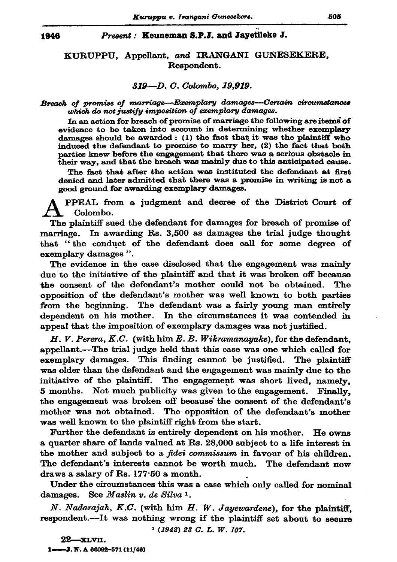#### Present: Keuneman S.P.J. and Jayetileke J.

# KURUPPU, Appellant, and IRANGANI GUNESEKERE, Respondent.

### 319-D. C. Colombo, 19.919.

## Breach of promise of marriage-Exemplary damages--Certain circumstances which do not justify imposition of exemplary damages.

In an action for breach of promise of marriage the following are items of evidence to be taken into account in determining whether exemplary damages should be awarded: (1) the fact that it was the plaintiff who induced the defendant to promise to marry her, (2) the fact that both parties knew before the engagement that there was a serious obstacle in their way, and that the breach was mainly due to this anticipated cause.

The fact that after the action was instituted the defendant at first denied and later admitted that there was a promise in writing is not a good ground for awarding exemplary damages.

PPEAL from a judgment and decree of the District Court of Colombo.

The plaintiff sued the defendant for damages for breach of promise of marriage. In awarding Rs. 3,500 as damages the trial judge thought that "the conduct of the defendant does call for some degree of exemplary damages".

The evidence in the case disclosed that the engagement was mainly due to the initiative of the plaintiff and that it was broken off because the consent of the defendant's mother could not be obtained. The opposition of the defendant's mother was well known to both parties from the beginning. The defendant was a fairly young man entirely dependent on his mother. In the circumstances it was contended in appeal that the imposition of exemplary damages was not justified.

 $H, V, Perera, K.C.$  (with him E. B. Wikramanayake), for the defendant. appellant.—The trial judge held that this case was one which called for exemplary damages. This finding cannot be justified. The plaintiff was older than the defendant and the engagement was mainly due to the initiative of the plaintiff. The engagement was short lived, namely, 5 months. Not much publicity was given to the engagement. Finally, the engagement was broken off because the consent of the defendant's mother was not obtained. The opposition of the defendant's mother was well known to the plaintiff right from the start.

Further the defendant is entirely dependent on his mother. He owns a quarter share of lands valued at Rs. 28,000 subject to a life interest in the mother and subject to a *fidei commissum* in favour of his children. The defendant's interests cannot be worth much. The defendant now draws a salary of Rs. 177.50 a month.

Under the circumstances this was a case which only called for nominal damages. See Maslin v. de Silva 1.

N. Nadarajah, K.C. (with him H. W. Jayewardene), for the plaintiff, respondent.---It was nothing wrong if the plaintiff set about to secure

 $1(1942)$  23  $C$ , L, W, 107,

 $22$ -xlvii. 1-3. N. A 66092-571 (11/46)

1946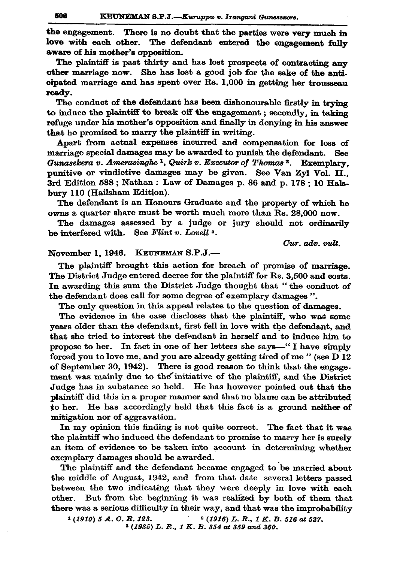the engagement. There is no doubt that the parties were very much in love with each other. The defendant entered the engagement fully aware of his mother's opposition.

The plaintiff is past thirty and has lost prospects of contracting any other marriage now. She has lost a good job for the sake of the anticipated marriage and has spent over Rs. 1,000 in getting her trousseau readv.

The conduct of the defendant has been dishonourable firstly in trying to induce the plaintiff to break off the engagement; secondly, in taking refuge under his mother's opposition and finally in denying in his answer that he promised to marry the plaintiff in writing.

Apart from actual expenses incurred and compensation for loss of marriage special damages may be awarded to punish the defendant. See Gunasekera v. Amerasinghe <sup>1</sup>, Quirk v. Executor of Thomas<sup>2</sup>. Exemplary. punitive or vindictive damages may be given. See Van Zyl Vol. II., 3rd Edition 588; Nathan: Law of Damages p. 86 and p. 178; 10 Halsbury 110 (Hailsham Edition).

The defendant is an Honours Graduate and the property of which he owns a quarter share must be worth much more than Rs. 28,000 now.

The damages assessed by a judge or jury should not ordinarily be interfered with. See Flint v. Lovell<sup>3</sup>.

Cur. adv. vult.

## November 1, 1946. KEUNEMAN S.P.J.-

The plaintiff brought this action for breach of promise of marriage. The District Judge entered decree for the plaintiff for Rs. 3,500 and costs. In awarding this sum the District Judge thought that "the conduct of the defendant does call for some degree of exemplary damages".

The only question in this appeal relates to the question of damages.

The evidence in the case discloses that the plaintiff, who was some years older than the defendant, first fell in love with the defendant, and that she tried to interest the defendant in herself and to induce him to propose to her. In fact in one of her letters she says-"I have simply forced you to love me, and you are already getting tired of me" (see D 12) of September 30, 1942). There is good reason to think that the engagement was mainly due to the initiative of the plaintiff, and the District Judge has in substance so held. He has however pointed out that the plaintiff did this in a proper manner and that no blame can be attributed to her. He has accordingly held that this fact is a ground neither of mitigation nor of aggravation.

In my opinion this finding is not quite correct. The fact that it was the plaintiff who induced the defendant to promise to marry her is surely an item of evidence to be taken into account in determining whether exemplary damages should be awarded.

The plaintiff and the defendant became engaged to be married about the middle of August, 1942, and from that date several letters passed between the two indicating that they were deeply in love with each other. But from the beginning it was realized by both of them that there was a serious difficulty in their way, and that was the improbability

 $1(1910) 5 A. C. R. 123.$  $(1916) L. R., I. K. B. 516$  at 527.  $(1935) L. R., I. K. B. 354$  at 359 and 360.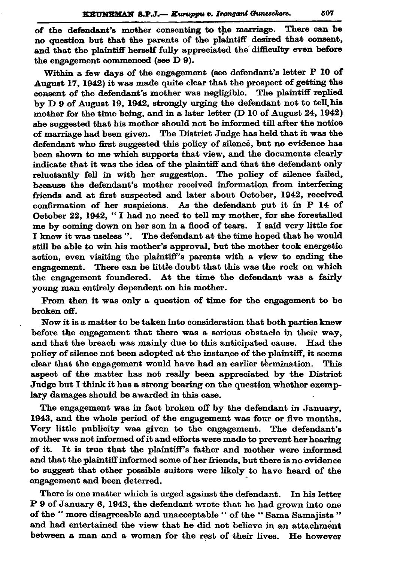of the defendant's mother consenting to the marriage. There can be no question but that the parents of the plaintiff desired that consent, and that the plaintiff herself fully appreciated the difficulty even before the engagement commenced (see D 9).

Within a few days of the engagement (see defendant's letter P 10 of August 17, 1942) it was made quite clear that the prospect of getting the consent of the defendant's mother was negligible. The plaintiff replied by D 9 of August 19, 1942, strongly urging the defendant not to tell his mother for the time being, and in a later letter (D 10 of August 24, 1942) she suggested that his mother should not be informed till after the notice of marriage had been given. The District Judge has held that it was the defendant who first suggested this policy of silence, but no evidence has been shown to me which supports that view, and the documents clearly indicate that it was the idea of the plaintiff and that the defendant only reluctantly fell in with her suggestion. The policy of silence failed, because the defendant's mother received information from interfering friends and at first suspected and later about October, 1942, received confirmation of her suspicions. As the defendant put it in P 14 of October 22, 1942, "I had no need to tell my mother, for she forestalled me by coming down on her son in a flood of tears. I said very little for I knew it was useless ". The defendant at the time hoped that he would still be able to win his mother's approval, but the mother took energetic action, even visiting the plaintiff's parents with a view to ending the engagement. There can be little doubt that this was the rock on which the engagement foundered. At the time the defendant was a fairly young man entirely dependent on his mother.

From then it was only a question of time for the engagement to be broken off.

Now it is a matter to be taken into consideration that both parties knew before the engagement that there was a serious obstacle in their way. and that the breach was mainly due to this anticipated cause. Had the policy of silence not been adopted at the instance of the plaintiff, it seems clear that the engagement would have had an earlier termination. This aspect of the matter has not really been appreciated by the District Judge but I think it has a strong bearing on the question whether exemplary damages should be awarded in this case.

The engagement was in fact broken off by the defendant in January, 1943, and the whole period of the engagement was four or five months. Very little publicity was given to the engagement. The defendant's mother was not informed of it and efforts were made to prevent her hearing of it. It is true that the plaintiff's father and mother were informed and that the plaintiff informed some of her friends, but there is no evidence to suggest that other possible suitors were likely to have heard of the engagement and been deterred.

There is one matter which is urged against the defendant. In his letter P 9 of January 6, 1943, the defendant wrote that he had grown into one of the "more disagreeable and unacceptable " of the "Sama Samajists" and had entertained the view that he did not believe in an attachment between a man and a woman for the rest of their lives. He however